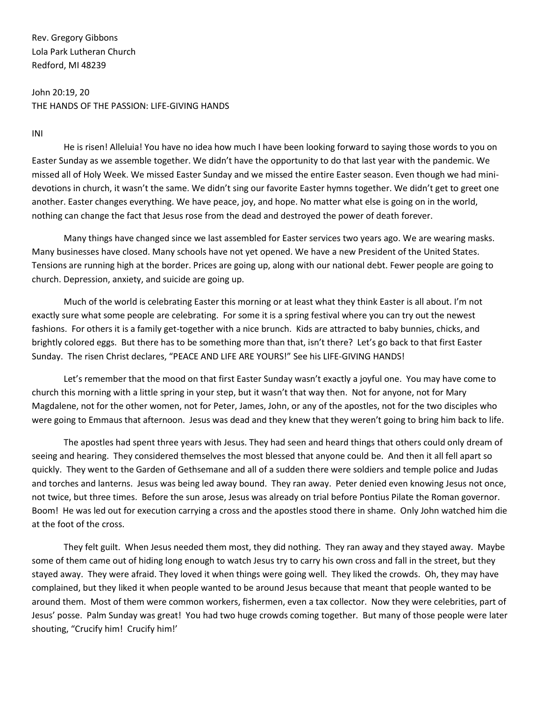Rev. Gregory Gibbons Lola Park Lutheran Church Redford, MI 48239

John 20:19, 20 THE HANDS OF THE PASSION: LIFE-GIVING HANDS

INI

He is risen! Alleluia! You have no idea how much I have been looking forward to saying those words to you on Easter Sunday as we assemble together. We didn't have the opportunity to do that last year with the pandemic. We missed all of Holy Week. We missed Easter Sunday and we missed the entire Easter season. Even though we had minidevotions in church, it wasn't the same. We didn't sing our favorite Easter hymns together. We didn't get to greet one another. Easter changes everything. We have peace, joy, and hope. No matter what else is going on in the world, nothing can change the fact that Jesus rose from the dead and destroyed the power of death forever.

Many things have changed since we last assembled for Easter services two years ago. We are wearing masks. Many businesses have closed. Many schools have not yet opened. We have a new President of the United States. Tensions are running high at the border. Prices are going up, along with our national debt. Fewer people are going to church. Depression, anxiety, and suicide are going up.

Much of the world is celebrating Easter this morning or at least what they think Easter is all about. I'm not exactly sure what some people are celebrating. For some it is a spring festival where you can try out the newest fashions. For others it is a family get-together with a nice brunch. Kids are attracted to baby bunnies, chicks, and brightly colored eggs. But there has to be something more than that, isn't there? Let's go back to that first Easter Sunday. The risen Christ declares, "PEACE AND LIFE ARE YOURS!" See his LIFE-GIVING HANDS!

Let's remember that the mood on that first Easter Sunday wasn't exactly a joyful one. You may have come to church this morning with a little spring in your step, but it wasn't that way then. Not for anyone, not for Mary Magdalene, not for the other women, not for Peter, James, John, or any of the apostles, not for the two disciples who were going to Emmaus that afternoon. Jesus was dead and they knew that they weren't going to bring him back to life.

The apostles had spent three years with Jesus. They had seen and heard things that others could only dream of seeing and hearing. They considered themselves the most blessed that anyone could be. And then it all fell apart so quickly. They went to the Garden of Gethsemane and all of a sudden there were soldiers and temple police and Judas and torches and lanterns. Jesus was being led away bound. They ran away. Peter denied even knowing Jesus not once, not twice, but three times. Before the sun arose, Jesus was already on trial before Pontius Pilate the Roman governor. Boom! He was led out for execution carrying a cross and the apostles stood there in shame. Only John watched him die at the foot of the cross.

They felt guilt. When Jesus needed them most, they did nothing. They ran away and they stayed away. Maybe some of them came out of hiding long enough to watch Jesus try to carry his own cross and fall in the street, but they stayed away. They were afraid. They loved it when things were going well. They liked the crowds. Oh, they may have complained, but they liked it when people wanted to be around Jesus because that meant that people wanted to be around them. Most of them were common workers, fishermen, even a tax collector. Now they were celebrities, part of Jesus' posse. Palm Sunday was great! You had two huge crowds coming together. But many of those people were later shouting, "Crucify him! Crucify him!'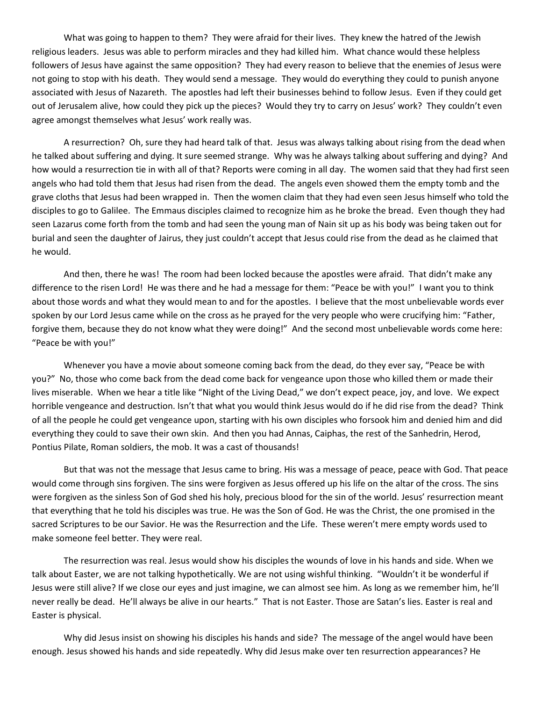What was going to happen to them? They were afraid for their lives. They knew the hatred of the Jewish religious leaders. Jesus was able to perform miracles and they had killed him. What chance would these helpless followers of Jesus have against the same opposition? They had every reason to believe that the enemies of Jesus were not going to stop with his death. They would send a message. They would do everything they could to punish anyone associated with Jesus of Nazareth. The apostles had left their businesses behind to follow Jesus. Even if they could get out of Jerusalem alive, how could they pick up the pieces? Would they try to carry on Jesus' work? They couldn't even agree amongst themselves what Jesus' work really was.

A resurrection? Oh, sure they had heard talk of that. Jesus was always talking about rising from the dead when he talked about suffering and dying. It sure seemed strange. Why was he always talking about suffering and dying? And how would a resurrection tie in with all of that? Reports were coming in all day. The women said that they had first seen angels who had told them that Jesus had risen from the dead. The angels even showed them the empty tomb and the grave cloths that Jesus had been wrapped in. Then the women claim that they had even seen Jesus himself who told the disciples to go to Galilee. The Emmaus disciples claimed to recognize him as he broke the bread. Even though they had seen Lazarus come forth from the tomb and had seen the young man of Nain sit up as his body was being taken out for burial and seen the daughter of Jairus, they just couldn't accept that Jesus could rise from the dead as he claimed that he would.

And then, there he was! The room had been locked because the apostles were afraid. That didn't make any difference to the risen Lord! He was there and he had a message for them: "Peace be with you!" I want you to think about those words and what they would mean to and for the apostles. I believe that the most unbelievable words ever spoken by our Lord Jesus came while on the cross as he prayed for the very people who were crucifying him: "Father, forgive them, because they do not know what they were doing!" And the second most unbelievable words come here: "Peace be with you!"

Whenever you have a movie about someone coming back from the dead, do they ever say, "Peace be with you?" No, those who come back from the dead come back for vengeance upon those who killed them or made their lives miserable. When we hear a title like "Night of the Living Dead," we don't expect peace, joy, and love. We expect horrible vengeance and destruction. Isn't that what you would think Jesus would do if he did rise from the dead? Think of all the people he could get vengeance upon, starting with his own disciples who forsook him and denied him and did everything they could to save their own skin. And then you had Annas, Caiphas, the rest of the Sanhedrin, Herod, Pontius Pilate, Roman soldiers, the mob. It was a cast of thousands!

But that was not the message that Jesus came to bring. His was a message of peace, peace with God. That peace would come through sins forgiven. The sins were forgiven as Jesus offered up his life on the altar of the cross. The sins were forgiven as the sinless Son of God shed his holy, precious blood for the sin of the world. Jesus' resurrection meant that everything that he told his disciples was true. He was the Son of God. He was the Christ, the one promised in the sacred Scriptures to be our Savior. He was the Resurrection and the Life. These weren't mere empty words used to make someone feel better. They were real.

The resurrection was real. Jesus would show his disciples the wounds of love in his hands and side. When we talk about Easter, we are not talking hypothetically. We are not using wishful thinking. "Wouldn't it be wonderful if Jesus were still alive? If we close our eyes and just imagine, we can almost see him. As long as we remember him, he'll never really be dead. He'll always be alive in our hearts." That is not Easter. Those are Satan's lies. Easter is real and Easter is physical.

Why did Jesus insist on showing his disciples his hands and side? The message of the angel would have been enough. Jesus showed his hands and side repeatedly. Why did Jesus make over ten resurrection appearances? He